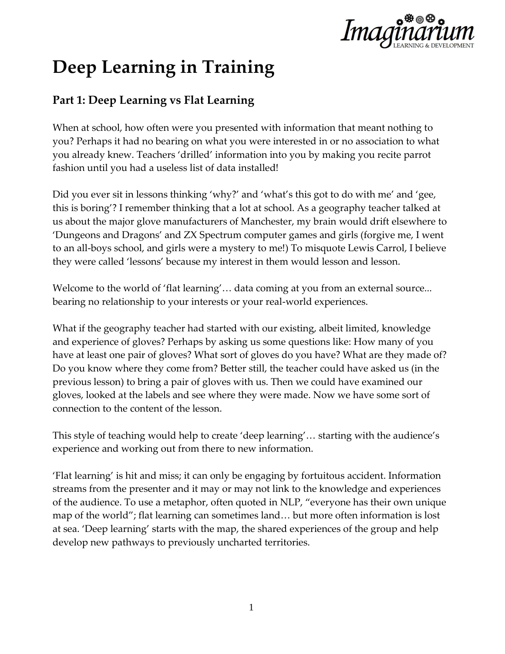

# **Deep Learning in Training**

# **Part 1: Deep Learning vs Flat Learning**

When at school, how often were you presented with information that meant nothing to you? Perhaps it had no bearing on what you were interested in or no association to what you already knew. Teachers 'drilled' information into you by making you recite parrot fashion until you had a useless list of data installed!

Did you ever sit in lessons thinking 'why?' and 'what's this got to do with me' and 'gee, this is boring'? I remember thinking that a lot at school. As a geography teacher talked at us about the major glove manufacturers of Manchester, my brain would drift elsewhere to 'Dungeons and Dragons' and ZX Spectrum computer games and girls (forgive me, I went to an all-boys school, and girls were a mystery to me!) To misquote Lewis Carrol, I believe they were called 'lessons' because my interest in them would lesson and lesson.

Welcome to the world of 'flat learning'... data coming at you from an external source... bearing no relationship to your interests or your real-world experiences.

What if the geography teacher had started with our existing, albeit limited, knowledge and experience of gloves? Perhaps by asking us some questions like: How many of you have at least one pair of gloves? What sort of gloves do you have? What are they made of? Do you know where they come from? Better still, the teacher could have asked us (in the previous lesson) to bring a pair of gloves with us. Then we could have examined our gloves, looked at the labels and see where they were made. Now we have some sort of connection to the content of the lesson.

This style of teaching would help to create 'deep learning'… starting with the audience's experience and working out from there to new information.

'Flat learning' is hit and miss; it can only be engaging by fortuitous accident. Information streams from the presenter and it may or may not link to the knowledge and experiences of the audience. To use a metaphor, often quoted in NLP, "everyone has their own unique map of the world"; flat learning can sometimes land… but more often information is lost at sea. 'Deep learning' starts with the map, the shared experiences of the group and help develop new pathways to previously uncharted territories.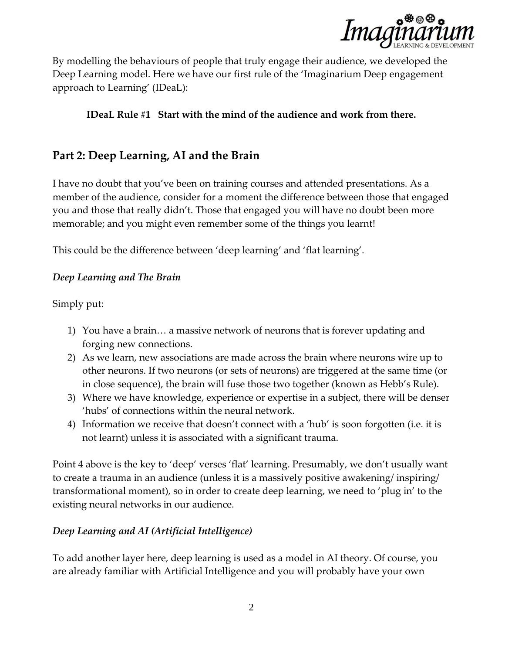

By modelling the behaviours of people that truly engage their audience, we developed the Deep Learning model. Here we have our first rule of the 'Imaginarium Deep engagement approach to Learning' (IDeaL):

#### **IDeaL Rule #1 Start with the mind of the audience and work from there.**

## **Part 2: Deep Learning, AI and the Brain**

I have no doubt that you've been on training courses and attended presentations. As a member of the audience, consider for a moment the difference between those that engaged you and those that really didn't. Those that engaged you will have no doubt been more memorable; and you might even remember some of the things you learnt!

This could be the difference between 'deep learning' and 'flat learning'.

#### *Deep Learning and The Brain*

Simply put:

- 1) You have a brain… a massive network of neurons that is forever updating and forging new connections.
- 2) As we learn, new associations are made across the brain where neurons wire up to other neurons. If two neurons (or sets of neurons) are triggered at the same time (or in close sequence), the brain will fuse those two together (known as Hebb's Rule).
- 3) Where we have knowledge, experience or expertise in a subject, there will be denser 'hubs' of connections within the neural network.
- 4) Information we receive that doesn't connect with a 'hub' is soon forgotten (i.e. it is not learnt) unless it is associated with a significant trauma.

Point 4 above is the key to 'deep' verses 'flat' learning. Presumably, we don't usually want to create a trauma in an audience (unless it is a massively positive awakening/ inspiring/ transformational moment), so in order to create deep learning, we need to 'plug in' to the existing neural networks in our audience.

#### *Deep Learning and AI (Artificial Intelligence)*

To add another layer here, deep learning is used as a model in AI theory. Of course, you are already familiar with Artificial Intelligence and you will probably have your own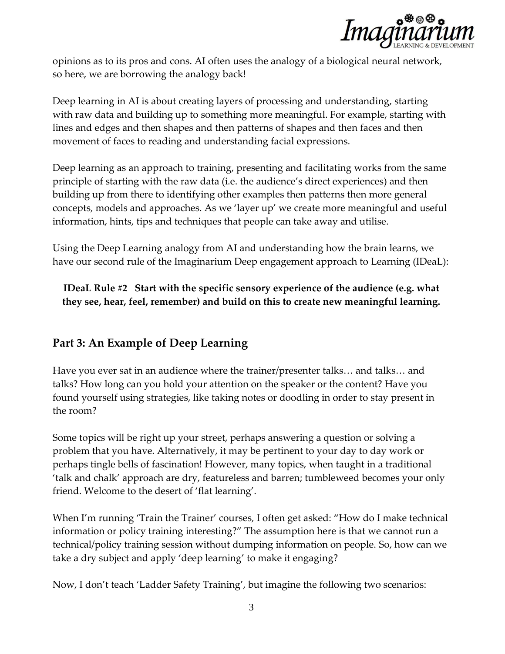

opinions as to its pros and cons. AI often uses the analogy of a biological neural network, so here, we are borrowing the analogy back!

Deep learning in AI is about creating layers of processing and understanding, starting with raw data and building up to something more meaningful. For example, starting with lines and edges and then shapes and then patterns of shapes and then faces and then movement of faces to reading and understanding facial expressions.

Deep learning as an approach to training, presenting and facilitating works from the same principle of starting with the raw data (i.e. the audience's direct experiences) and then building up from there to identifying other examples then patterns then more general concepts, models and approaches. As we 'layer up' we create more meaningful and useful information, hints, tips and techniques that people can take away and utilise.

Using the Deep Learning analogy from AI and understanding how the brain learns, we have our second rule of the Imaginarium Deep engagement approach to Learning (IDeaL):

**IDeaL Rule #2 Start with the specific sensory experience of the audience (e.g. what they see, hear, feel, remember) and build on this to create new meaningful learning.**

## **Part 3: An Example of Deep Learning**

Have you ever sat in an audience where the trainer/presenter talks… and talks… and talks? How long can you hold your attention on the speaker or the content? Have you found yourself using strategies, like taking notes or doodling in order to stay present in the room?

Some topics will be right up your street, perhaps answering a question or solving a problem that you have. Alternatively, it may be pertinent to your day to day work or perhaps tingle bells of fascination! However, many topics, when taught in a traditional 'talk and chalk' approach are dry, featureless and barren; tumbleweed becomes your only friend. Welcome to the desert of 'flat learning'.

When I'm running 'Train the Trainer' courses, I often get asked: "How do I make technical information or policy training interesting?" The assumption here is that we cannot run a technical/policy training session without dumping information on people. So, how can we take a dry subject and apply 'deep learning' to make it engaging?

Now, I don't teach 'Ladder Safety Training', but imagine the following two scenarios: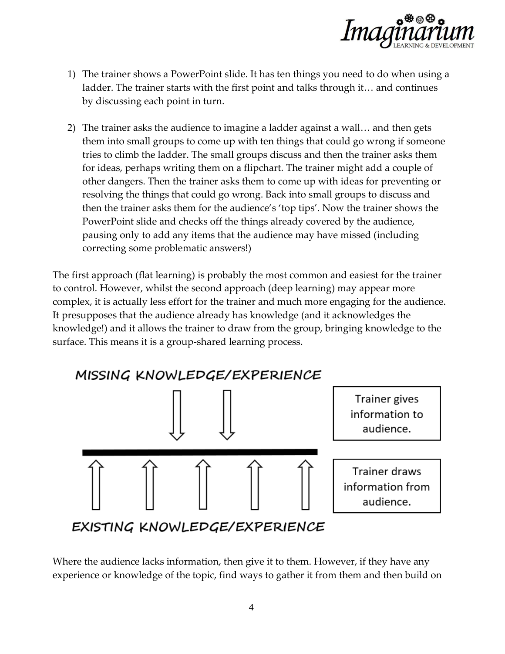

- 1) The trainer shows a PowerPoint slide. It has ten things you need to do when using a ladder. The trainer starts with the first point and talks through it… and continues by discussing each point in turn.
- 2) The trainer asks the audience to imagine a ladder against a wall… and then gets them into small groups to come up with ten things that could go wrong if someone tries to climb the ladder. The small groups discuss and then the trainer asks them for ideas, perhaps writing them on a flipchart. The trainer might add a couple of other dangers. Then the trainer asks them to come up with ideas for preventing or resolving the things that could go wrong. Back into small groups to discuss and then the trainer asks them for the audience's 'top tips'. Now the trainer shows the PowerPoint slide and checks off the things already covered by the audience, pausing only to add any items that the audience may have missed (including correcting some problematic answers!)

The first approach (flat learning) is probably the most common and easiest for the trainer to control. However, whilst the second approach (deep learning) may appear more complex, it is actually less effort for the trainer and much more engaging for the audience. It presupposes that the audience already has knowledge (and it acknowledges the knowledge!) and it allows the trainer to draw from the group, bringing knowledge to the surface. This means it is a group-shared learning process.



Where the audience lacks information, then give it to them. However, if they have any experience or knowledge of the topic, find ways to gather it from them and then build on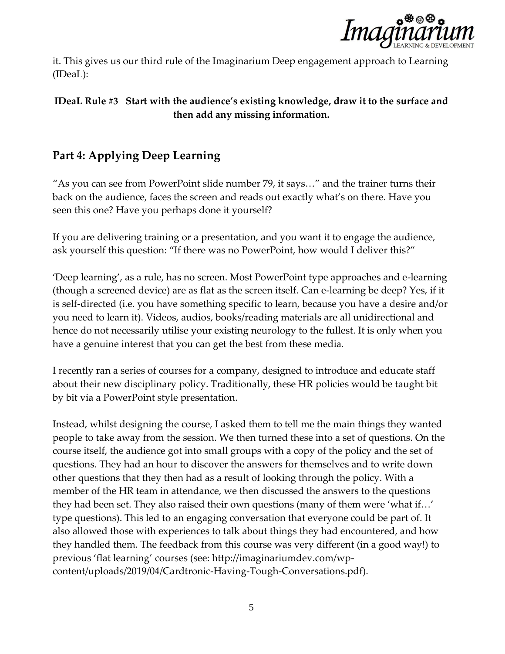

it. This gives us our third rule of the Imaginarium Deep engagement approach to Learning (IDeaL):

### **IDeaL Rule #3 Start with the audience's existing knowledge, draw it to the surface and then add any missing information.**

# **Part 4: Applying Deep Learning**

"As you can see from PowerPoint slide number 79, it says…" and the trainer turns their back on the audience, faces the screen and reads out exactly what's on there. Have you seen this one? Have you perhaps done it yourself?

If you are delivering training or a presentation, and you want it to engage the audience, ask yourself this question: "If there was no PowerPoint, how would I deliver this?"

'Deep learning', as a rule, has no screen. Most PowerPoint type approaches and e-learning (though a screened device) are as flat as the screen itself. Can e-learning be deep? Yes, if it is self-directed (i.e. you have something specific to learn, because you have a desire and/or you need to learn it). Videos, audios, books/reading materials are all unidirectional and hence do not necessarily utilise your existing neurology to the fullest. It is only when you have a genuine interest that you can get the best from these media.

I recently ran a series of courses for a company, designed to introduce and educate staff about their new disciplinary policy. Traditionally, these HR policies would be taught bit by bit via a PowerPoint style presentation.

Instead, whilst designing the course, I asked them to tell me the main things they wanted people to take away from the session. We then turned these into a set of questions. On the course itself, the audience got into small groups with a copy of the policy and the set of questions. They had an hour to discover the answers for themselves and to write down other questions that they then had as a result of looking through the policy. With a member of the HR team in attendance, we then discussed the answers to the questions they had been set. They also raised their own questions (many of them were 'what if…' type questions). This led to an engaging conversation that everyone could be part of. It also allowed those with experiences to talk about things they had encountered, and how they handled them. The feedback from this course was very different (in a good way!) to previous 'flat learning' courses (see: http://imaginariumdev.com/wpcontent/uploads/2019/04/Cardtronic-Having-Tough-Conversations.pdf).